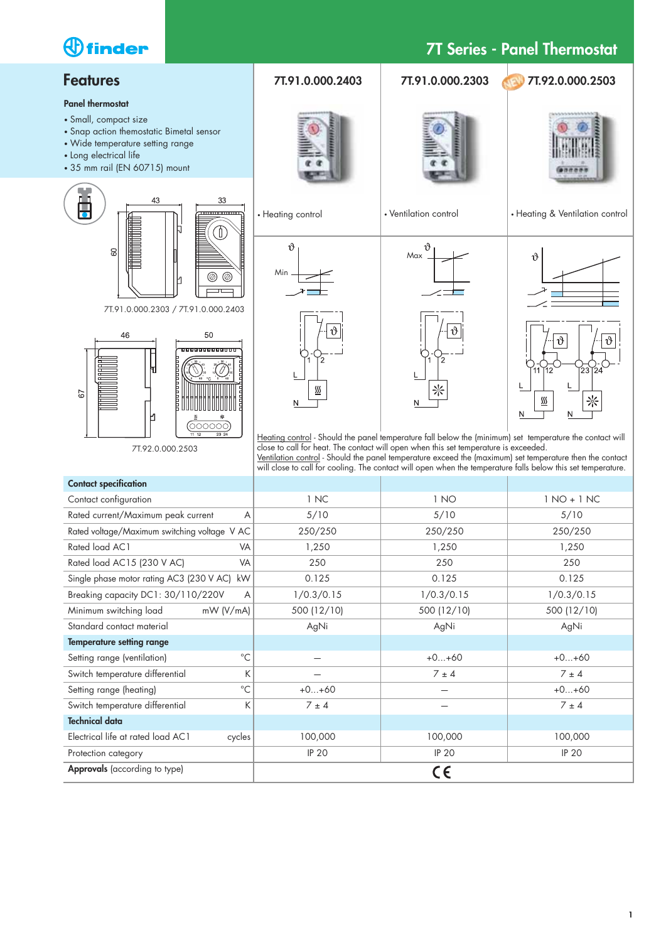# **7T Series - Panel Thermostat**

#### **Features**

#### **Panel thermostat**

• Small, compact size

*<u>Ofinder</u>* 

- Snap action themostatic Bimetal sensor
- Wide temperature setting range
- Long electrical life
- 35 mm rail (EN 60715) mount



7T.91.0.000.2303 / 7T.91.0.000.2403



7T.92.0.000.2503







• Ventilation control • Heating & Ventilation control



• Heating control





 $\frac{SS}{2}$ 

N

<u>Heating control</u> - Should the panel temperature fall below the (minimum) set temperature the contact will close to call for heat. The contact will open when this set temperature is exceeded. Ventilation control - Should the panel temperature exceed the (maximum) set temperature then the contact will close to call for cooling. The contact will open when the temperature falls below this set temperature.

| <b>Contact specification</b>                 |              |              |               |
|----------------------------------------------|--------------|--------------|---------------|
| Contact configuration                        | 1 NC         | 1 NO         | $1 NO + 1 NC$ |
| Rated current/Maximum peak current<br>A      | 5/10         | 5/10         | 5/10          |
| Rated voltage/Maximum switching voltage V AC | 250/250      | 250/250      | 250/250       |
| Rated load AC1<br>VA                         | 1,250        | 1,250        | 1,250         |
| Rated load AC15 (230 V AC)<br>VA             | 250          | 250          | 250           |
| Single phase motor rating AC3 (230 V AC) kW  | 0.125        | 0.125        | 0.125         |
| Breaking capacity DC1: 30/110/220V<br>A      | 1/0.3/0.15   | 1/0.3/0.15   | 1/0.3/0.15    |
| Minimum switching load<br>mW (V/mA)          | 500 (12/10)  | 500 (12/10)  | 500 (12/10)   |
| Standard contact material                    | AgNi         | AgNi         | AgNi          |
| <b>Temperature setting range</b>             |              |              |               |
| $^{\circ}$ C<br>Setting range (ventilation)  |              | $+0+60$      | $+0+60$       |
| K<br>Switch temperature differential         |              | $7 \pm 4$    | $7 \pm 4$     |
| $^{\circ}C$<br>Setting range (heating)       | $+0+60$      |              | $+0+60$       |
| K<br>Switch temperature differential         | $7 \pm 4$    |              | $7 \pm 4$     |
| <b>Technical data</b>                        |              |              |               |
| Electrical life at rated load AC1<br>cycles  | 100,000      | 100,000      | 100,000       |
| Protection category                          | <b>IP 20</b> | <b>IP 20</b> | <b>IP 20</b>  |
| Approvals (according to type)                |              | C€           |               |